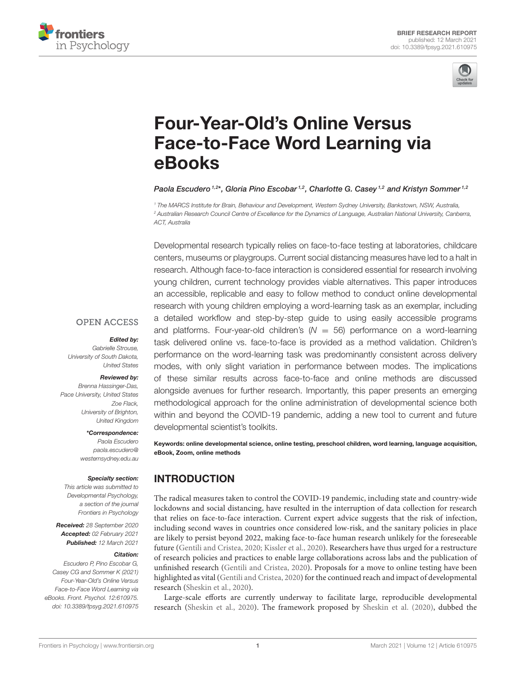



# Four-Year-Old's Online Versus [Face-to-Face Word Learning via](https://www.frontiersin.org/articles/10.3389/fpsyg.2021.610975/full) eBooks

Paola Escudero<sup>1,2\*</sup>, Gloria Pino Escobar<sup>1,2</sup>, Charlotte G. Casey<sup>1,2</sup> and Kristyn Sommer<sup>1,2</sup>

*<sup>1</sup> The MARCS Institute for Brain, Behaviour and Development, Western Sydney University, Bankstown, NSW, Australia, <sup>2</sup> Australian Research Council Centre of Excellence for the Dynamics of Language, Australian National University, Canberra, ACT, Australia*

Developmental research typically relies on face-to-face testing at laboratories, childcare centers, museums or playgroups. Current social distancing measures have led to a halt in research. Although face-to-face interaction is considered essential for research involving young children, current technology provides viable alternatives. This paper introduces an accessible, replicable and easy to follow method to conduct online developmental research with young children employing a word-learning task as an exemplar, including a detailed workflow and step-by-step guide to using easily accessible programs and platforms. Four-year-old children's  $(N = 56)$  performance on a word-learning task delivered online vs. face-to-face is provided as a method validation. Children's performance on the word-learning task was predominantly consistent across delivery modes, with only slight variation in performance between modes. The implications of these similar results across face-to-face and online methods are discussed alongside avenues for further research. Importantly, this paper presents an emerging methodological approach for the online administration of developmental science both within and beyond the COVID-19 pandemic, adding a new tool to current and future developmental scientist's toolkits.

Keywords: online developmental science, online testing, preschool children, word learning, language acquisition, eBook, Zoom, online methods

# INTRODUCTION

The radical measures taken to control the COVID-19 pandemic, including state and country-wide lockdowns and social distancing, have resulted in the interruption of data collection for research that relies on face-to-face interaction. Current expert advice suggests that the risk of infection, including second waves in countries once considered low-risk, and the sanitary policies in place are likely to persist beyond 2022, making face-to-face human research unlikely for the foreseeable future [\(Gentili and Cristea, 2020;](#page-7-0) [Kissler et al., 2020\)](#page-7-1). Researchers have thus urged for a restructure of research policies and practices to enable large collaborations across labs and the publication of unfinished research [\(Gentili and Cristea, 2020\)](#page-7-0). Proposals for a move to online testing have been highlighted as vital [\(Gentili and Cristea, 2020\)](#page-7-0) for the continued reach and impact of developmental research [\(Sheskin et al., 2020\)](#page-7-2).

Large-scale efforts are currently underway to facilitate large, reproducible developmental research [\(Sheskin et al., 2020\)](#page-7-2). The framework proposed by [Sheskin et al. \(2020\)](#page-7-2), dubbed the

#### **OPEN ACCESS**

#### Edited by:

*Gabrielle Strouse, University of South Dakota, United States*

#### Reviewed by:

*Brenna Hassinger-Das, Pace University, United States Zoe Flack, University of Brighton, United Kingdom*

\*Correspondence:

*Paola Escudero [paola.escudero@](mailto:paola.escudero@westernsydney.edu.au) [westernsydney.edu.au](mailto:paola.escudero@westernsydney.edu.au)*

#### Specialty section:

*This article was submitted to Developmental Psychology, a section of the journal Frontiers in Psychology*

Received: *28 September 2020* Accepted: *02 February 2021* Published: *12 March 2021*

#### Citation:

*Escudero P, Pino Escobar G, Casey CG and Sommer K (2021) Four-Year-Old's Online Versus Face-to-Face Word Learning via eBooks. Front. Psychol. 12:610975. doi: [10.3389/fpsyg.2021.610975](https://doi.org/10.3389/fpsyg.2021.610975)*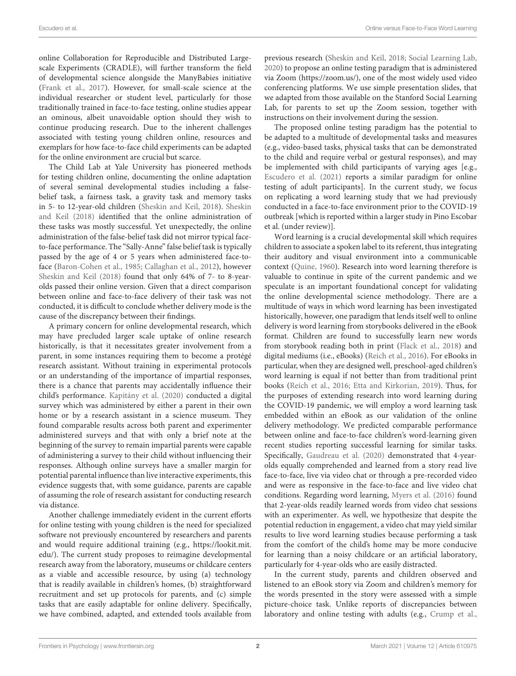online Collaboration for Reproducible and Distributed Largescale Experiments (CRADLE), will further transform the field of developmental science alongside the ManyBabies initiative [\(Frank et al., 2017\)](#page-7-3). However, for small-scale science at the individual researcher or student level, particularly for those traditionally trained in face-to-face testing, online studies appear an ominous, albeit unavoidable option should they wish to continue producing research. Due to the inherent challenges associated with testing young children online, resources and exemplars for how face-to-face child experiments can be adapted for the online environment are crucial but scarce.

The Child Lab at Yale University has pioneered methods for testing children online, documenting the online adaptation of several seminal developmental studies including a falsebelief task, a fairness task, a gravity task and memory tasks in 5- to 12-year-old children [\(Sheskin and Keil, 2018\)](#page-7-4). Sheskin and Keil [\(2018\)](#page-7-4) identified that the online administration of these tasks was mostly successful. Yet unexpectedly, the online administration of the false-belief task did not mirror typical faceto-face performance. The "Sally-Anne" false belief task is typically passed by the age of 4 or 5 years when administered face-toface [\(Baron-Cohen et al., 1985;](#page-6-0) [Callaghan et al., 2012\)](#page-6-1), however [Sheskin and Keil \(2018\)](#page-7-4) found that only 64% of 7- to 8-yearolds passed their online version. Given that a direct comparison between online and face-to-face delivery of their task was not conducted, it is difficult to conclude whether delivery mode is the cause of the discrepancy between their findings.

A primary concern for online developmental research, which may have precluded larger scale uptake of online research historically, is that it necessitates greater involvement from a parent, in some instances requiring them to become a protégé research assistant. Without training in experimental protocols or an understanding of the importance of impartial responses, there is a chance that parents may accidentally influence their child's performance. [Kapitány et al. \(2020\)](#page-7-5) conducted a digital survey which was administered by either a parent in their own home or by a research assistant in a science museum. They found comparable results across both parent and experimenter administered surveys and that with only a brief note at the beginning of the survey to remain impartial parents were capable of administering a survey to their child without influencing their responses. Although online surveys have a smaller margin for potential parental influence than live interactive experiments, this evidence suggests that, with some guidance, parents are capable of assuming the role of research assistant for conducting research via distance.

Another challenge immediately evident in the current efforts for online testing with young children is the need for specialized software not previously encountered by researchers and parents and would require additional training (e.g., [https://lookit.mit.](https://lookit.mit.edu/) [edu/\)](https://lookit.mit.edu/). The current study proposes to reimagine developmental research away from the laboratory, museums or childcare centers as a viable and accessible resource, by using (a) technology that is readily available in children's homes, (b) straightforward recruitment and set up protocols for parents, and (c) simple tasks that are easily adaptable for online delivery. Specifically, we have combined, adapted, and extended tools available from previous research [\(Sheskin and Keil, 2018;](#page-7-4) [Social Learning Lab,](#page-7-6) [2020\)](#page-7-6) to propose an online testing paradigm that is administered via Zoom [\(https://zoom.us/\)](https://zoom.us/), one of the most widely used video conferencing platforms. We use simple presentation slides, that we adapted from those available on the Stanford Social Learning Lab, for parents to set up the Zoom session, together with instructions on their involvement during the session.

The proposed online testing paradigm has the potential to be adapted to a multitude of developmental tasks and measures (e.g., video-based tasks, physical tasks that can be demonstrated to the child and require verbal or gestural responses), and may be implemented with child participants of varying ages [e.g., [Escudero et al. \(2021\)](#page-7-7) reports a similar paradigm for online testing of adult participants]. In the current study, we focus on replicating a word learning study that we had previously conducted in a face-to-face environment prior to the COVID-19 outbreak [which is reported within a larger study in Pino Escobar et al. (under review)].

Word learning is a crucial developmental skill which requires children to associate a spoken label to its referent, thus integrating their auditory and visual environment into a communicable context [\(Quine, 1960\)](#page-7-8). Research into word learning therefore is valuable to continue in spite of the current pandemic and we speculate is an important foundational concept for validating the online developmental science methodology. There are a multitude of ways in which word learning has been investigated historically, however, one paradigm that lends itself well to online delivery is word learning from storybooks delivered in the eBook format. Children are found to successfully learn new words from storybook reading both in print [\(Flack et al., 2018\)](#page-7-9) and digital mediums (i.e., eBooks) [\(Reich et al., 2016\)](#page-7-10). For eBooks in particular, when they are designed well, preschool-aged children's word learning is equal if not better than from traditional print books [\(Reich et al., 2016;](#page-7-10) [Etta and Kirkorian, 2019\)](#page-7-11). Thus, for the purposes of extending research into word learning during the COVID-19 pandemic, we will employ a word learning task embedded within an eBook as our validation of the online delivery methodology. We predicted comparable performance between online and face-to-face children's word-learning given recent studies reporting successful learning for similar tasks. Specifically, [Gaudreau et al. \(2020\)](#page-7-12) demonstrated that 4-yearolds equally comprehended and learned from a story read live face-to-face, live via video chat or through a pre-recorded video and were as responsive in the face-to-face and live video chat conditions. Regarding word learning, [Myers et al. \(2016\)](#page-7-13) found that 2-year-olds readily learned words from video chat sessions with an experimenter. As well, we hypothesize that despite the potential reduction in engagement, a video chat may yield similar results to live word learning studies because performing a task from the comfort of the child's home may be more conducive for learning than a noisy childcare or an artificial laboratory, particularly for 4-year-olds who are easily distracted.

In the current study, parents and children observed and listened to an eBook story via Zoom and children's memory for the words presented in the story were assessed with a simple picture-choice task. Unlike reports of discrepancies between laboratory and online testing with adults (e.g., [Crump et al.,](#page-6-2)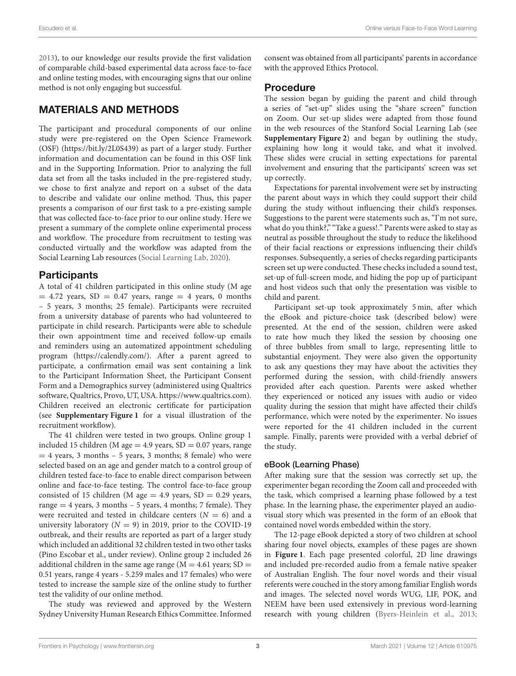[2013\)](#page-6-2), to our knowledge our results provide the first validation of comparable child-based experimental data across face-to-face and online testing modes, with encouraging signs that our online method is not only engaging but successful.

# MATERIALS AND METHODS

The participant and procedural components of our online study were pre-registered on the Open Science Framework (OSF) [\(https://bit.ly/2L0S439\)](https://bit.ly/2L0S439) as part of a larger study. Further information and documentation can be found in this OSF link and in the Supporting Information. Prior to analyzing the full data set from all the tasks included in the pre-registered study, we chose to first analyze and report on a subset of the data to describe and validate our online method. Thus, this paper presents a comparison of our first task to a pre-existing sample that was collected face-to-face prior to our online study. Here we present a summary of the complete online experimental process and workflow. The procedure from recruitment to testing was conducted virtually and the workflow was adapted from the Social Learning Lab resources [\(Social Learning Lab, 2020\)](#page-7-6).

# **Participants**

A total of 41 children participated in this online study (M age  $= 4.72$  years, SD  $= 0.47$  years, range  $= 4$  years, 0 months – 5 years, 3 months; 25 female). Participants were recruited from a university database of parents who had volunteered to participate in child research. Participants were able to schedule their own appointment time and received follow-up emails and reminders using an automatized appointment scheduling program [\(https://calendly.com/\)](https://calendly.com/). After a parent agreed to participate, a confirmation email was sent containing a link to the Participant Information Sheet, the Participant Consent Form and a Demographics survey (administered using Qualtrics software, Qualtrics, Provo, UT, USA. [https://www.qualtrics.com\)](https://www.qualtrics.com). Children received an electronic certificate for participation (see **[Supplementary Figure 1](#page-6-3)** for a visual illustration of the recruitment workflow).

The 41 children were tested in two groups. Online group 1 included 15 children (M age  $= 4.9$  years, SD  $= 0.07$  years, range  $= 4$  years, 3 months – 5 years, 3 months; 8 female) who were selected based on an age and gender match to a control group of children tested face-to-face to enable direct comparison between online and face-to-face testing. The control face-to-face group consisted of 15 children (M age  $= 4.9$  years, SD  $= 0.29$  years, range = 4 years, 3 months – 5 years, 4 months; 7 female). They were recruited and tested in childcare centers  $(N = 6)$  and a university laboratory ( $N = 9$ ) in 2019, prior to the COVID-19 outbreak, and their results are reported as part of a larger study which included an additional 32 children tested in two other tasks (Pino Escobar et al., under review). Online group 2 included 26 additional children in the same age range ( $M = 4.61$  years;  $SD =$ 0.51 years, range 4 years - 5.259 males and 17 females) who were tested to increase the sample size of the online study to further test the validity of our online method.

The study was reviewed and approved by the Western Sydney University Human Research Ethics Committee. Informed consent was obtained from all participants' parents in accordance with the approved Ethics Protocol.

#### Procedure

The session began by guiding the parent and child through a series of "set-up" slides using the "share screen" function on Zoom. Our set-up slides were adapted from those found in the web resources of the Stanford Social Learning Lab (see **[Supplementary Figure 2](#page-6-3)**) and began by outlining the study, explaining how long it would take, and what it involved. These slides were crucial in setting expectations for parental involvement and ensuring that the participants' screen was set up correctly.

Expectations for parental involvement were set by instructing the parent about ways in which they could support their child during the study without influencing their child's responses. Suggestions to the parent were statements such as, "I'm not sure, what do you think?," "Take a guess!." Parents were asked to stay as neutral as possible throughout the study to reduce the likelihood of their facial reactions or expressions influencing their child's responses. Subsequently, a series of checks regarding participants screen set up were conducted. These checks included a sound test, set-up of full-screen mode, and hiding the pop up of participant and host videos such that only the presentation was visible to child and parent.

Participant set-up took approximately 5 min, after which the eBook and picture-choice task (described below) were presented. At the end of the session, children were asked to rate how much they liked the session by choosing one of three bubbles from small to large, representing little to substantial enjoyment. They were also given the opportunity to ask any questions they may have about the activities they performed during the session, with child-friendly answers provided after each question. Parents were asked whether they experienced or noticed any issues with audio or video quality during the session that might have affected their child's performance, which were noted by the experimenter. No issues were reported for the 41 children included in the current sample. Finally, parents were provided with a verbal debrief of the study.

#### eBook (Learning Phase)

After making sure that the session was correctly set up, the experimenter began recording the Zoom call and proceeded with the task, which comprised a learning phase followed by a test phase. In the learning phase, the experimenter played an audiovisual story which was presented in the form of an eBook that contained novel words embedded within the story.

The 12-page eBook depicted a story of two children at school sharing four novel objects, examples of these pages are shown in **[Figure 1](#page-3-0)**. Each page presented colorful, 2D line drawings and included pre-recorded audio from a female native speaker of Australian English. The four novel words and their visual referents were couched in the story among familiar English words and images. The selected novel words WUG, LIF, POK, and NEEM have been used extensively in previous word-learning research with young children [\(Byers-Heinlein et al., 2013;](#page-6-4)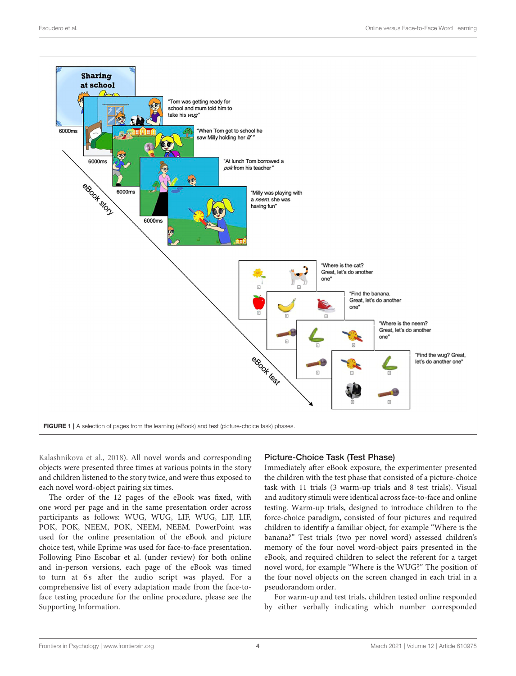

<span id="page-3-0"></span>[Kalashnikova et al., 2018\)](#page-7-14). All novel words and corresponding objects were presented three times at various points in the story and children listened to the story twice, and were thus exposed to each novel word-object pairing six times.

The order of the 12 pages of the eBook was fixed, with one word per page and in the same presentation order across participants as follows: WUG, WUG, LIF, WUG, LIF, LIF, POK, POK, NEEM, POK, NEEM, NEEM. PowerPoint was used for the online presentation of the eBook and picture choice test, while Eprime was used for face-to-face presentation. Following Pino Escobar et al. (under review) for both online and in-person versions, each page of the eBook was timed to turn at 6s after the audio script was played. For a comprehensive list of every adaptation made from the face-toface testing procedure for the online procedure, please see the Supporting Information.

## Picture-Choice Task (Test Phase)

Immediately after eBook exposure, the experimenter presented the children with the test phase that consisted of a picture-choice task with 11 trials (3 warm-up trials and 8 test trials). Visual and auditory stimuli were identical across face-to-face and online testing. Warm-up trials, designed to introduce children to the force-choice paradigm, consisted of four pictures and required children to identify a familiar object, for example "Where is the banana?" Test trials (two per novel word) assessed children's memory of the four novel word-object pairs presented in the eBook, and required children to select the referent for a target novel word, for example "Where is the WUG?" The position of the four novel objects on the screen changed in each trial in a pseudorandom order.

For warm-up and test trials, children tested online responded by either verbally indicating which number corresponded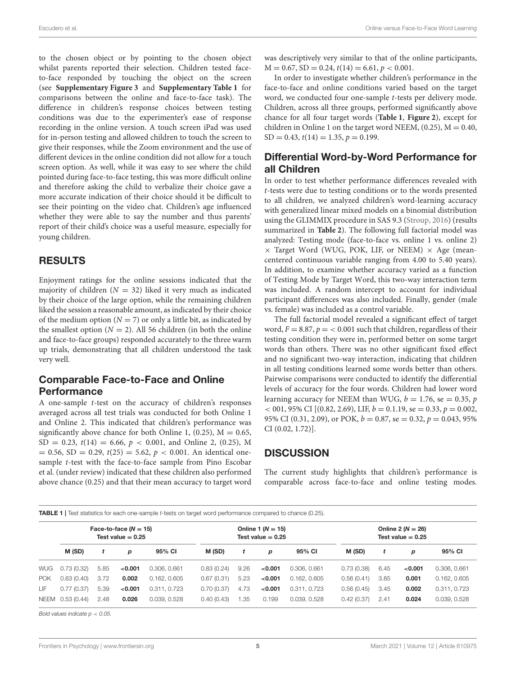to the chosen object or by pointing to the chosen object whilst parents reported their selection. Children tested faceto-face responded by touching the object on the screen (see **[Supplementary Figure 3](#page-6-3)** and **[Supplementary Table 1](#page-6-3)** for comparisons between the online and face-to-face task). The difference in children's response choices between testing conditions was due to the experimenter's ease of response recording in the online version. A touch screen iPad was used for in-person testing and allowed children to touch the screen to give their responses, while the Zoom environment and the use of different devices in the online condition did not allow for a touch screen option. As well, while it was easy to see where the child pointed during face-to-face testing, this was more difficult online and therefore asking the child to verbalize their choice gave a more accurate indication of their choice should it be difficult to see their pointing on the video chat. Children's age influenced whether they were able to say the number and thus parents' report of their child's choice was a useful measure, especially for young children.

#### RESULTS

Enjoyment ratings for the online sessions indicated that the majority of children ( $N = 32$ ) liked it very much as indicated by their choice of the large option, while the remaining children liked the session a reasonable amount, as indicated by their choice of the medium option  $(N = 7)$  or only a little bit, as indicated by the smallest option ( $N = 2$ ). All 56 children (in both the online and face-to-face groups) responded accurately to the three warm up trials, demonstrating that all children understood the task very well.

## Comparable Face-to-Face and Online Performance

A one-sample t-test on the accuracy of children's responses averaged across all test trials was conducted for both Online 1 and Online 2. This indicated that children's performance was significantly above chance for both Online 1, (0.25),  $M = 0.65$ ,  $SD = 0.23$ ,  $t(14) = 6.66$ ,  $p < 0.001$ , and Online 2, (0.25), M  $= 0.56$ , SD  $= 0.29$ ,  $t(25) = 5.62$ ,  $p < 0.001$ . An identical onesample t-test with the face-to-face sample from Pino Escobar et al. (under review) indicated that these children also performed above chance (0.25) and that their mean accuracy to target word was descriptively very similar to that of the online participants,  $M = 0.67$ ,  $SD = 0.24$ ,  $t(14) = 6.61$ ,  $p < 0.001$ .

In order to investigate whether children's performance in the face-to-face and online conditions varied based on the target word, we conducted four one-sample t-tests per delivery mode. Children, across all three groups, performed significantly above chance for all four target words (**[Table 1](#page-4-0)**, **[Figure 2](#page-5-0)**), except for children in Online 1 on the target word NEEM,  $(0.25)$ ,  $M = 0.40$ ,  $SD = 0.43$ ,  $t(14) = 1.35$ ,  $p = 0.199$ .

# Differential Word-by-Word Performance for all Children

In order to test whether performance differences revealed with t-tests were due to testing conditions or to the words presented to all children, we analyzed children's word-learning accuracy with generalized linear mixed models on a binomial distribution using the GLIMMIX procedure in SAS 9.3 [\(Stroup, 2016\)](#page-7-15) (results summarized in **[Table 2](#page-5-1)**). The following full factorial model was analyzed: Testing mode (face-to-face vs. online 1 vs. online 2)  $\times$  Target Word (WUG, POK, LIF, or NEEM)  $\times$  Age (meancentered continuous variable ranging from 4.00 to 5.40 years). In addition, to examine whether accuracy varied as a function of Testing Mode by Target Word, this two-way interaction term was included. A random intercept to account for individual participant differences was also included. Finally, gender (male vs. female) was included as a control variable.

The full factorial model revealed a significant effect of target word,  $F = 8.87$ ,  $p = < 0.001$  such that children, regardless of their testing condition they were in, performed better on some target words than others. There was no other significant fixed effect and no significant two-way interaction, indicating that children in all testing conditions learned some words better than others. Pairwise comparisons were conducted to identify the differential levels of accuracy for the four words. Children had lower word learning accuracy for NEEM than WUG,  $b = 1.76$ , se = 0.35, p  $< 001, 95\%$  CI  $[(0.82, 2.69),$  LIF,  $b = 0.1.19$ , se  $= 0.33, p = 0.002$ , 95% CI (0.31, 2.09), or POK,  $b = 0.87$ , se = 0.32,  $p = 0.043$ , 95% CI (0.02, 1.72)].

## **DISCUSSION**

The current study highlights that children's performance is comparable across face-to-face and online testing modes.

<span id="page-4-0"></span>TABLE 1 | Test statistics for each one-sample *t*-tests on target word performance compared to chance (0.25).

|            | Face-to-face $(N = 15)$<br>Test value $= 0.25$ |      |         |              | Online 1 $(N = 15)$<br>Test value $= 0.25$ |      |         |              | Online 2 ( $N = 26$ )<br>Test value $= 0.25$ |      |         |              |
|------------|------------------------------------------------|------|---------|--------------|--------------------------------------------|------|---------|--------------|----------------------------------------------|------|---------|--------------|
|            | M (SD)                                         |      | p       | 95% CI       | M (SD)                                     |      | p       | 95% CI       | M (SD)                                       |      | p       | 95% CI       |
| WUG        | 0.73(0.32)                                     | 5.85 | < 0.001 | 0.306, 0.661 | 0.83(0.24)                                 | 9.26 | < 0.001 | 0.306, 0.661 | 0.73(0.38)                                   | 6.45 | < 0.001 | 0.306, 0.661 |
| <b>POK</b> | 0.63(0.40)                                     | 3.72 | 0.002   | 0.162, 0.605 | 0.67(0.31)                                 | 5.23 | < 0.001 | 0.162, 0.605 | 0.56(0.41)                                   | 3.85 | 0.001   | 0.162, 0.605 |
| LIF        | 0.77(0.37)                                     | 5.39 | < 0.001 | 0.311, 0.723 | 0.70(0.37)                                 | 4.73 | < 0.001 | 0.311, 0.723 | 0.56(0.45)                                   | 3.45 | 0.002   | 0.311, 0.723 |
|            | NEEM 0.53 (0.44)                               | 2.48 | 0.026   | 0.039, 0.528 | 0.40(0.43)                                 | 1.35 | 0.199   | 0.039, 0.528 | 0.42(0.37)                                   | 2.41 | 0.024   | 0.039, 0.528 |

*Bold values indicate p* < *0.05.*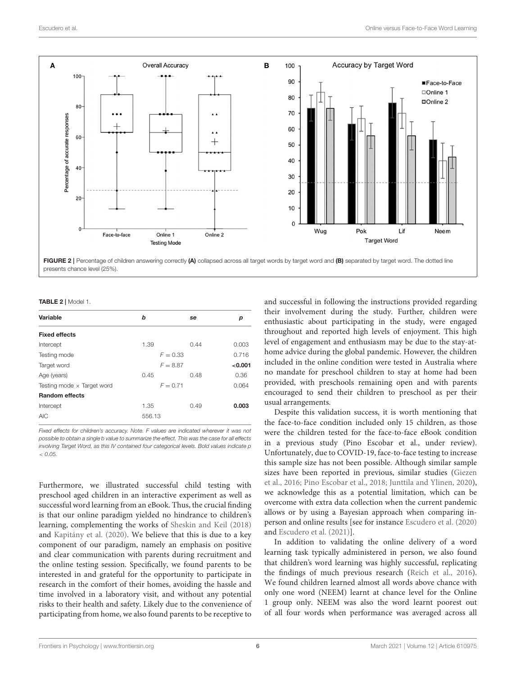

<span id="page-5-0"></span>presents chance level (25%).

<span id="page-5-1"></span>TABLE 2 | Model 1.

| Variable                          | b          |            |       |  |
|-----------------------------------|------------|------------|-------|--|
|                                   |            | se         | р     |  |
| <b>Fixed effects</b>              |            |            |       |  |
| Intercept                         | 1.39       | 0.44       | 0.003 |  |
| Testing mode                      |            | $F = 0.33$ | 0.716 |  |
| Target word                       | $F = 8.87$ | < 0.001    |       |  |
| Age (years)                       | 0.45       | 0.48       | 0.36  |  |
| Testing mode $\times$ Target word | $F = 0.71$ |            | 0.064 |  |
| <b>Random effects</b>             |            |            |       |  |
| Intercept                         | 1.35       | 0.49       | 0.003 |  |
| <b>AIC</b>                        | 556.13     |            |       |  |
|                                   |            |            |       |  |

*Fixed effects for children's accuracy. Note. F values are indicated wherever it was not possible to obtain a single b value to summarize the effect. This was the case for all effects involving Target Word, as this IV contained four categorical levels. Bold values indicate p* < *0.05.*

Furthermore, we illustrated successful child testing with preschool aged children in an interactive experiment as well as successful word learning from an eBook. Thus, the crucial finding is that our online paradigm yielded no hindrance to children's learning, complementing the works of [Sheskin and Keil \(2018\)](#page-7-4) and [Kapitány et al. \(2020\)](#page-7-5). We believe that this is due to a key component of our paradigm, namely an emphasis on positive and clear communication with parents during recruitment and the online testing session. Specifically, we found parents to be interested in and grateful for the opportunity to participate in research in the comfort of their homes, avoiding the hassle and time involved in a laboratory visit, and without any potential risks to their health and safety. Likely due to the convenience of participating from home, we also found parents to be receptive to

and successful in following the instructions provided regarding their involvement during the study. Further, children were enthusiastic about participating in the study, were engaged throughout and reported high levels of enjoyment. This high level of engagement and enthusiasm may be due to the stay-athome advice during the global pandemic. However, the children included in the online condition were tested in Australia where no mandate for preschool children to stay at home had been provided, with preschools remaining open and with parents encouraged to send their children to preschool as per their usual arrangements.

Despite this validation success, it is worth mentioning that the face-to-face condition included only 15 children, as those were the children tested for the face-to-face eBook condition in a previous study (Pino Escobar et al., under review). Unfortunately, due to COVID-19, face-to-face testing to increase this sample size has not been possible. Although similar sample sizes have been reported in previous, similar studies (Giezen et al., [2016;](#page-7-16) [Pino Escobar et al., 2018;](#page-7-17) [Junttila and Ylinen, 2020\)](#page-7-18), we acknowledge this as a potential limitation, which can be overcome with extra data collection when the current pandemic allows or by using a Bayesian approach when comparing inperson and online results [see for instance [Escudero et al. \(2020\)](#page-6-5) and [Escudero et al. \(2021\)](#page-7-7)].

In addition to validating the online delivery of a word learning task typically administered in person, we also found that children's word learning was highly successful, replicating the findings of much previous research [\(Reich et al., 2016\)](#page-7-10). We found children learned almost all words above chance with only one word (NEEM) learnt at chance level for the Online 1 group only. NEEM was also the word learnt poorest out of all four words when performance was averaged across all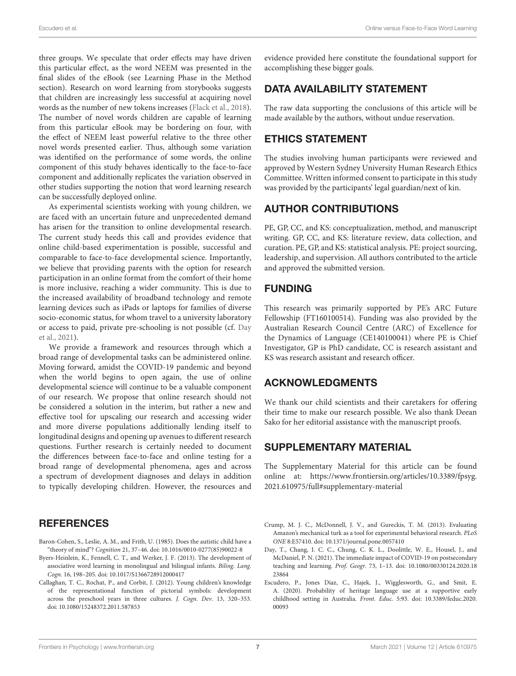three groups. We speculate that order effects may have driven this particular effect, as the word NEEM was presented in the final slides of the eBook (see Learning Phase in the Method section). Research on word learning from storybooks suggests that children are increasingly less successful at acquiring novel words as the number of new tokens increases [\(Flack et al., 2018\)](#page-7-9). The number of novel words children are capable of learning from this particular eBook may be bordering on four, with the effect of NEEM least powerful relative to the three other novel words presented earlier. Thus, although some variation was identified on the performance of some words, the online component of this study behaves identically to the face-to-face component and additionally replicates the variation observed in other studies supporting the notion that word learning research can be successfully deployed online.

As experimental scientists working with young children, we are faced with an uncertain future and unprecedented demand has arisen for the transition to online developmental research. The current study heeds this call and provides evidence that online child-based experimentation is possible, successful and comparable to face-to-face developmental science. Importantly, we believe that providing parents with the option for research participation in an online format from the comfort of their home is more inclusive, reaching a wider community. This is due to the increased availability of broadband technology and remote learning devices such as iPads or laptops for families of diverse socio-economic status, for whom travel to a university laboratory or access to paid, private pre-schooling is not possible (cf. Day et al., [2021\)](#page-6-6).

We provide a framework and resources through which a broad range of developmental tasks can be administered online. Moving forward, amidst the COVID-19 pandemic and beyond when the world begins to open again, the use of online developmental science will continue to be a valuable component of our research. We propose that online research should not be considered a solution in the interim, but rather a new and effective tool for upscaling our research and accessing wider and more diverse populations additionally lending itself to longitudinal designs and opening up avenues to different research questions. Further research is certainly needed to document the differences between face-to-face and online testing for a broad range of developmental phenomena, ages and across a spectrum of development diagnoses and delays in addition to typically developing children. However, the resources and

## **REFERENCES**

- <span id="page-6-0"></span>Baron-Cohen, S., Leslie, A. M., and Frith, U. (1985). Does the autistic child have a "theory of mind"? Cognition 21, 37–46. doi: [10.1016/0010-0277\(85\)90022-8](https://doi.org/10.1016/0010-0277(85)90022-8)
- <span id="page-6-4"></span>Byers-Heinlein, K., Fennell, C. T., and Werker, J. F. (2013). The development of associative word learning in monolingual and bilingual infants. Biling. Lang. Cogn. 16, 198–205. doi: [10.1017/S1366728912000417](https://doi.org/10.1017/S1366728912000417)
- <span id="page-6-1"></span>Callaghan, T. C., Rochat, P., and Corbit, J. (2012). Young children's knowledge of the representational function of pictorial symbols: development across the preschool years in three cultures. J. Cogn. Dev. 13, 320–353. doi: [10.1080/15248372.2011.587853](https://doi.org/10.1080/15248372.2011.587853)

evidence provided here constitute the foundational support for accomplishing these bigger goals.

# DATA AVAILABILITY STATEMENT

The raw data supporting the conclusions of this article will be made available by the authors, without undue reservation.

# ETHICS STATEMENT

The studies involving human participants were reviewed and approved by Western Sydney University Human Research Ethics Committee. Written informed consent to participate in this study was provided by the participants' legal guardian/next of kin.

## AUTHOR CONTRIBUTIONS

PE, GP, CC, and KS: conceptualization, method, and manuscript writing. GP, CC, and KS: literature review, data collection, and curation. PE, GP, and KS: statistical analysis. PE: project sourcing, leadership, and supervision. All authors contributed to the article and approved the submitted version.

## FUNDING

This research was primarily supported by PE's ARC Future Fellowship (FT160100514). Funding was also provided by the Australian Research Council Centre (ARC) of Excellence for the Dynamics of Language (CE140100041) where PE is Chief Investigator, GP is PhD candidate, CC is research assistant and KS was research assistant and research officer.

## ACKNOWLEDGMENTS

We thank our child scientists and their caretakers for offering their time to make our research possible. We also thank Deean Sako for her editorial assistance with the manuscript proofs.

# SUPPLEMENTARY MATERIAL

<span id="page-6-3"></span>The Supplementary Material for this article can be found [online at: https://www.frontiersin.org/articles/10.3389/fpsyg.](https://www.frontiersin.org/articles/10.3389/fpsyg.2021.610975/full#supplementary-material) 2021.610975/full#supplementary-material

- <span id="page-6-2"></span>Crump, M. J. C., McDonnell, J. V., and Gureckis, T. M. (2013). Evaluating Amazon's mechanical turk as a tool for experimental behavioral research. PLoS ONE 8:E57410. doi: [10.1371/journal.pone.0057410](https://doi.org/10.1371/journal.pone.0057410)
- <span id="page-6-6"></span>Day, T., Chang, I. C. C., Chung, C. K. L., Doolittle, W. E., Housel, J., and McDaniel, P. N. (2021). The immediate impact of COVID-19 on postsecondary teaching and learning. Prof. Geogr. [73, 1–13. doi: 10.1080/00330124.2020.18](https://doi.org/10.1080/00330124.2020.1823864) 23864
- <span id="page-6-5"></span>Escudero, P., Jones Diaz, C., Hajek, J., Wigglesworth, G., and Smit, E. A. (2020). Probability of heritage language use at a supportive early [childhood setting in Australia.](https://doi.org/10.3389/feduc.2020.00093) Front. Educ. 5:93. doi: 10.3389/feduc.2020. 00093